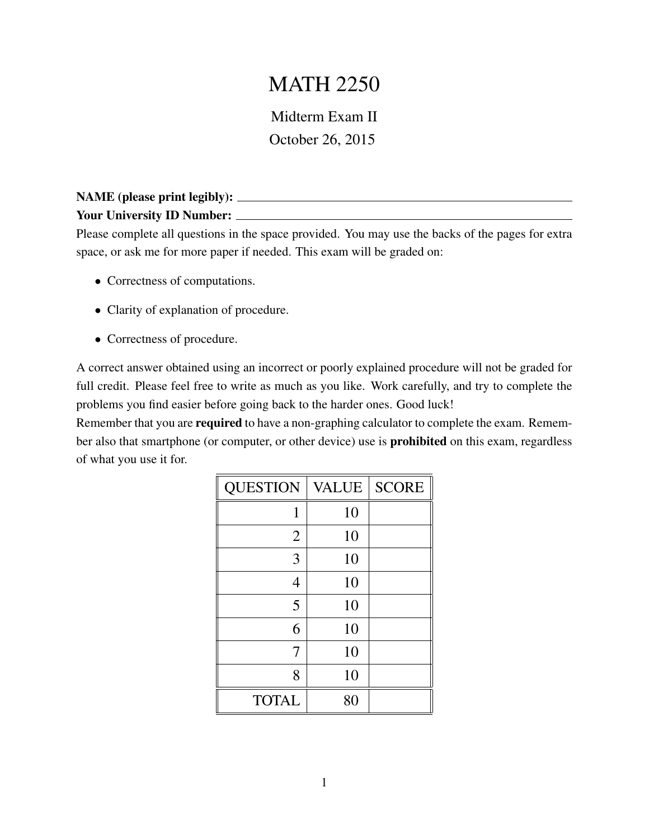## MATH 2250

Midterm Exam II October 26, 2015

## NAME (please print legibly): Your University ID Number:

Please complete all questions in the space provided. You may use the backs of the pages for extra space, or ask me for more paper if needed. This exam will be graded on:

- Correctness of computations.
- Clarity of explanation of procedure.
- Correctness of procedure.

A correct answer obtained using an incorrect or poorly explained procedure will not be graded for full credit. Please feel free to write as much as you like. Work carefully, and try to complete the problems you find easier before going back to the harder ones. Good luck!

Remember that you are **required** to have a non-graphing calculator to complete the exam. Remember also that smartphone (or computer, or other device) use is prohibited on this exam, regardless of what you use it for.

| <b>QUESTION</b> | <b>VALUE</b> | <b>SCORE</b> |
|-----------------|--------------|--------------|
| 1               | 10           |              |
| $\overline{2}$  | 10           |              |
| 3               | 10           |              |
| 4               | 10           |              |
| 5               | 10           |              |
| 6               | 10           |              |
| 7               | 10           |              |
| 8               | 10           |              |
| <b>TOTAL</b>    | 80           |              |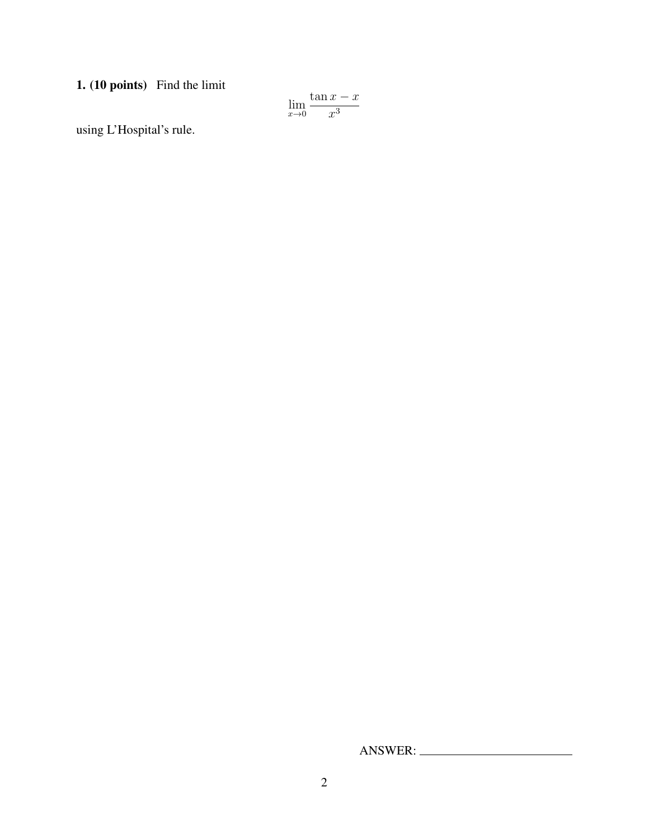1. (10 points) Find the limit

$$
\lim_{x \to 0} \frac{\tan x - x}{x^3}
$$

using L'Hospital's rule.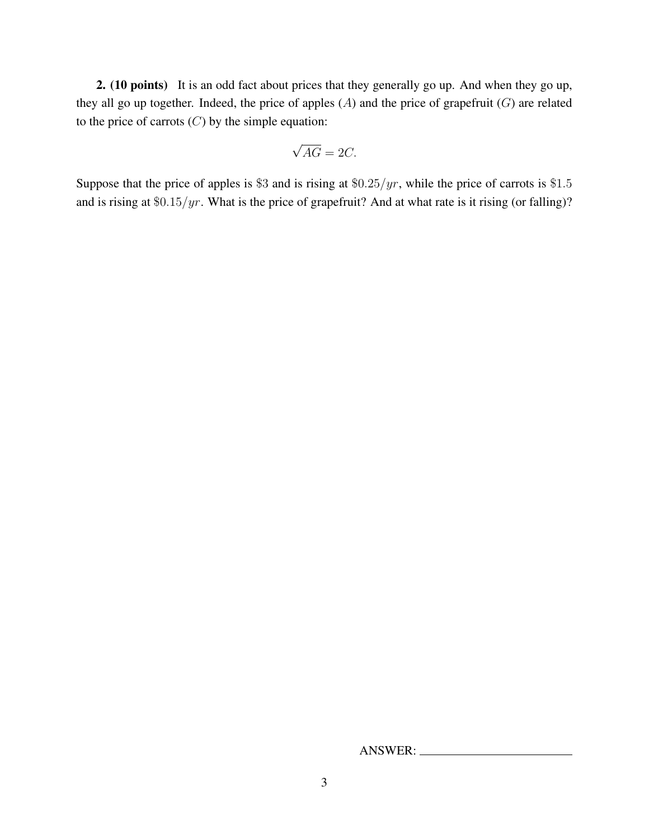2. (10 points) It is an odd fact about prices that they generally go up. And when they go up, they all go up together. Indeed, the price of apples  $(A)$  and the price of grapefruit  $(G)$  are related to the price of carrots  $(C)$  by the simple equation:

$$
\sqrt{AG} = 2C.
$$

Suppose that the price of apples is \$3 and is rising at  $$0.25/yr$ , while the price of carrots is \$1.5 and is rising at  $\frac{60.15}{yr}$ . What is the price of grapefruit? And at what rate is it rising (or falling)?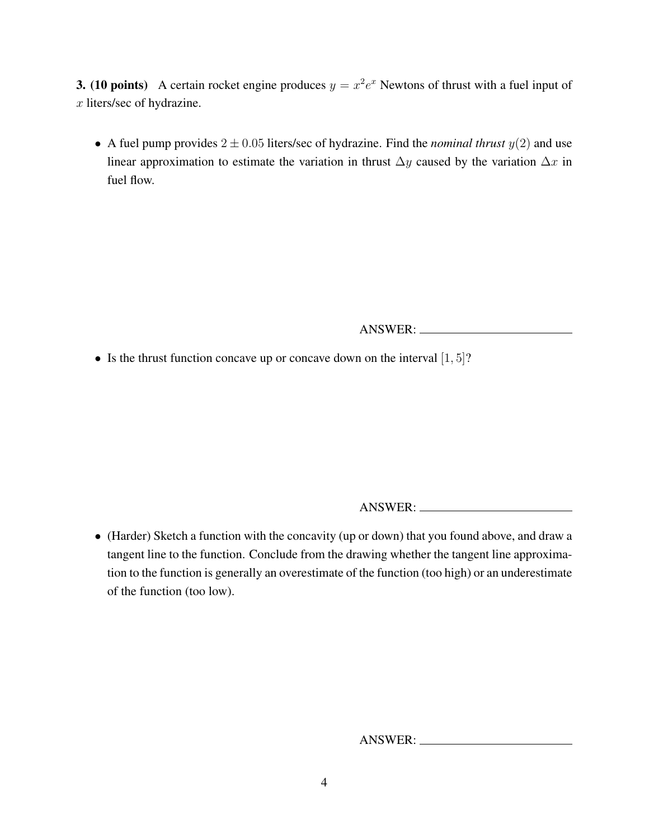**3.** (10 points) A certain rocket engine produces  $y = x^2 e^x$  Newtons of thrust with a fuel input of x liters/sec of hydrazine.

• A fuel pump provides  $2 \pm 0.05$  liters/sec of hydrazine. Find the *nominal thrust*  $y(2)$  and use linear approximation to estimate the variation in thrust  $\Delta y$  caused by the variation  $\Delta x$  in fuel flow.

ANSWER:

• Is the thrust function concave up or concave down on the interval  $[1, 5]$ ?

ANSWER:

• (Harder) Sketch a function with the concavity (up or down) that you found above, and draw a tangent line to the function. Conclude from the drawing whether the tangent line approximation to the function is generally an overestimate of the function (too high) or an underestimate of the function (too low).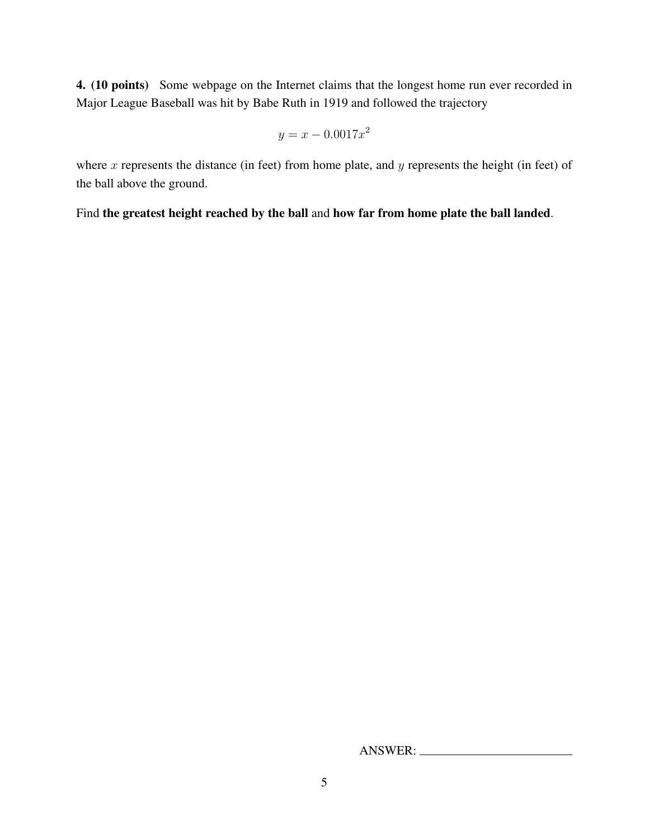4. (10 points) Some webpage on the Internet claims that the longest home run ever recorded in Major League Baseball was hit by Babe Ruth in 1919 and followed the trajectory

$$
y = x - 0.0017x^2
$$

where  $x$  represents the distance (in feet) from home plate, and  $y$  represents the height (in feet) of the ball above the ground.

Find the greatest height reached by the ball and how far from home plate the ball landed.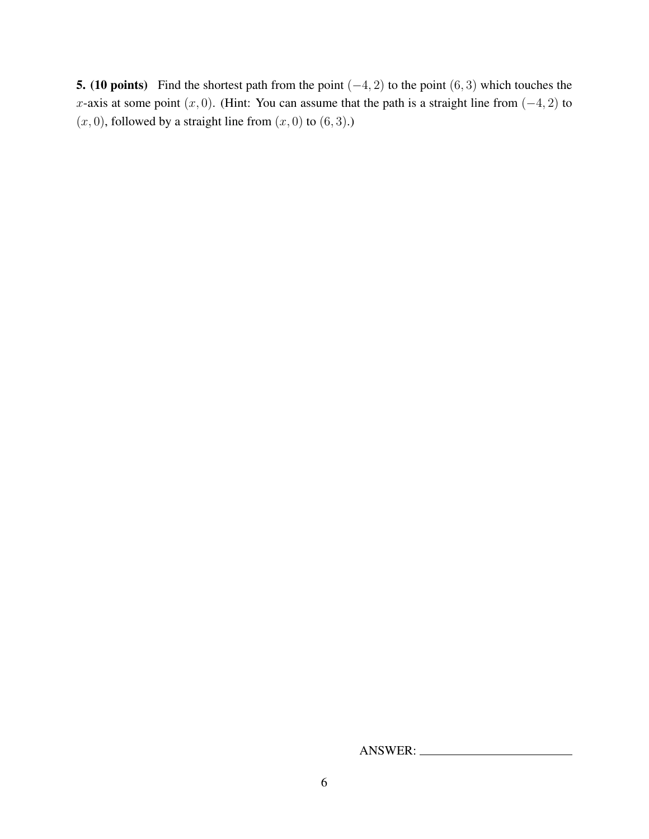**5. (10 points)** Find the shortest path from the point  $(-4, 2)$  to the point  $(6, 3)$  which touches the x-axis at some point  $(x, 0)$ . (Hint: You can assume that the path is a straight line from  $(-4, 2)$  to  $(x, 0)$ , followed by a straight line from  $(x, 0)$  to  $(6, 3)$ .)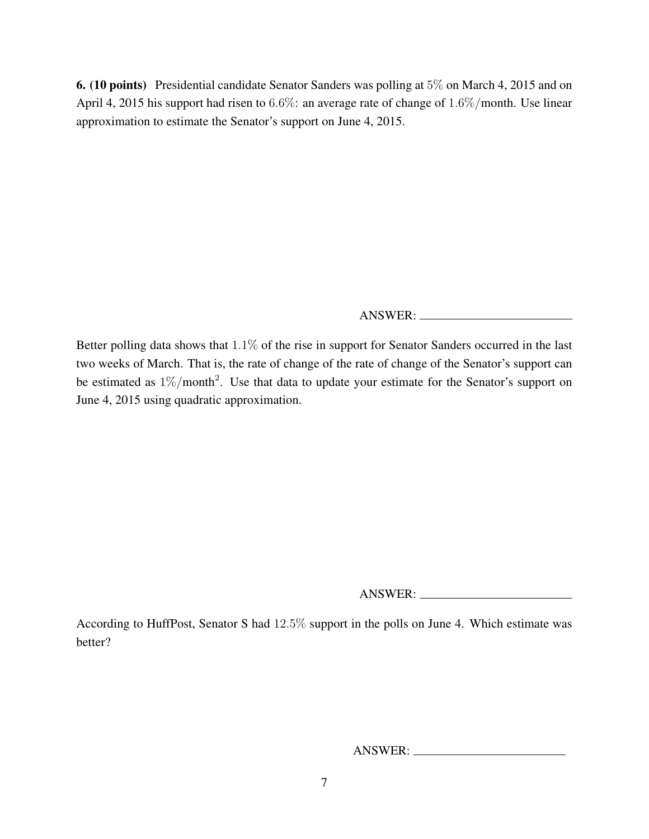6. (10 points) Presidential candidate Senator Sanders was polling at 5% on March 4, 2015 and on April 4, 2015 his support had risen to 6.6%: an average rate of change of 1.6%/month. Use linear approximation to estimate the Senator's support on June 4, 2015.

ANSWER:

Better polling data shows that 1.1% of the rise in support for Senator Sanders occurred in the last two weeks of March. That is, the rate of change of the rate of change of the Senator's support can be estimated as  $1\%$ /month<sup>2</sup>. Use that data to update your estimate for the Senator's support on June 4, 2015 using quadratic approximation.

ANSWER:

According to HuffPost, Senator S had 12.5% support in the polls on June 4. Which estimate was better?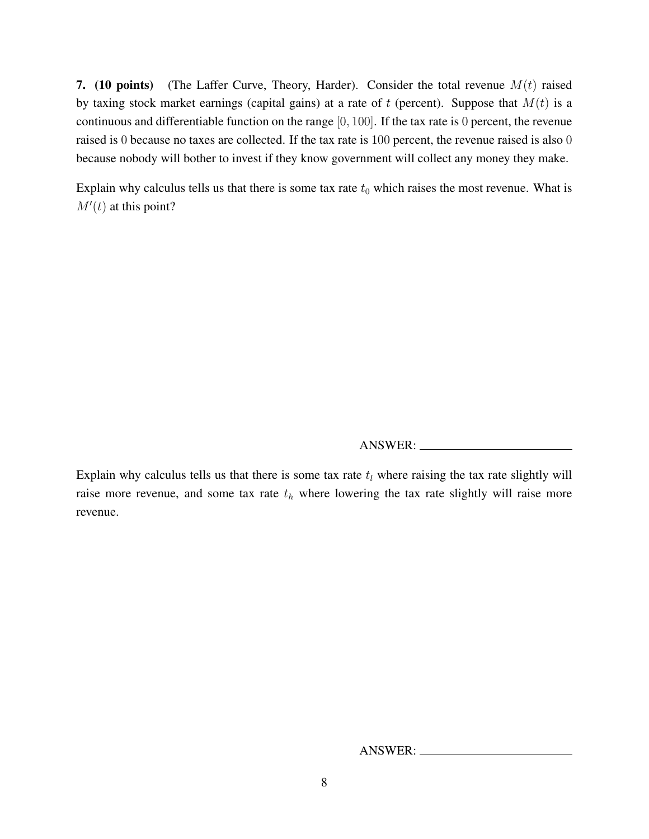7. (10 points) (The Laffer Curve, Theory, Harder). Consider the total revenue  $M(t)$  raised by taxing stock market earnings (capital gains) at a rate of  $t$  (percent). Suppose that  $M(t)$  is a continuous and differentiable function on the range [0, 100]. If the tax rate is 0 percent, the revenue raised is 0 because no taxes are collected. If the tax rate is 100 percent, the revenue raised is also 0 because nobody will bother to invest if they know government will collect any money they make.

Explain why calculus tells us that there is some tax rate  $t_0$  which raises the most revenue. What is  $M'(t)$  at this point?

ANSWER:

Explain why calculus tells us that there is some tax rate  $t_l$  where raising the tax rate slightly will raise more revenue, and some tax rate  $t<sub>h</sub>$  where lowering the tax rate slightly will raise more revenue.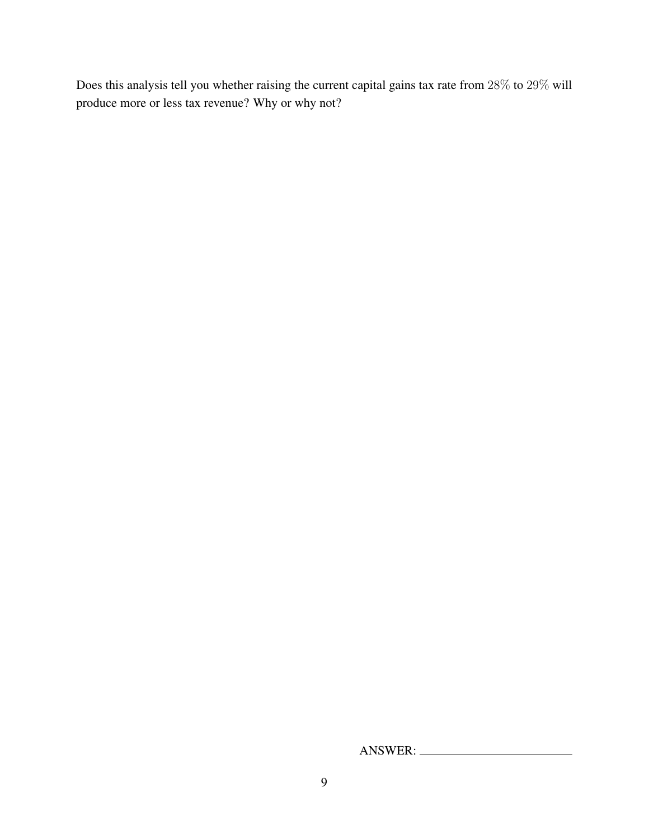Does this analysis tell you whether raising the current capital gains tax rate from 28% to 29% will produce more or less tax revenue? Why or why not?